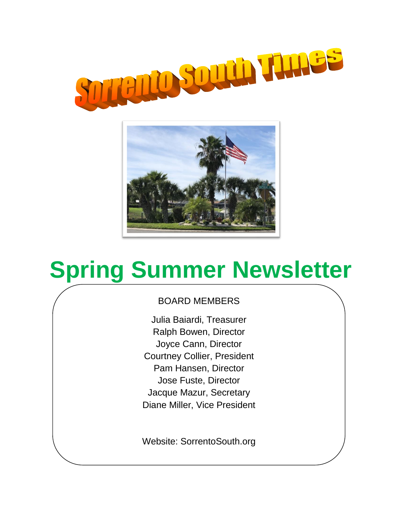



# **Spring Summer Newsletter**

## BOARD MEMBERS

Julia Baiardi, Treasurer Ralph Bowen, Director Joyce Cann, Director Courtney Collier, President Pam Hansen, Director Jose Fuste, Director Jacque Mazur, Secretary Diane Miller, Vice President

Website: SorrentoSouth.org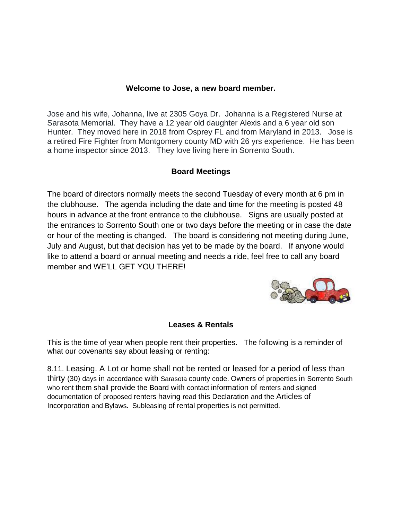#### **Welcome to Jose, a new board member.**

Jose and his wife, Johanna, live at 2305 Goya Dr. Johanna is a Registered Nurse at Sarasota Memorial. They have a 12 year old daughter Alexis and a 6 year old son Hunter. They moved here in 2018 from Osprey FL and from Maryland in 2013. Jose is a retired Fire Fighter from Montgomery county MD with 26 yrs experience. He has been a home inspector since 2013. They love living here in Sorrento South.

#### **Board Meetings**

The board of directors normally meets the second Tuesday of every month at 6 pm in the clubhouse. The agenda including the date and time for the meeting is posted 48 hours in advance at the front entrance to the clubhouse. Signs are usually posted at the entrances to Sorrento South one or two days before the meeting or in case the date or hour of the meeting is changed. The board is considering not meeting during June, July and August, but that decision has yet to be made by the board. If anyone would like to attend a board or annual meeting and needs a ride, feel free to call any board member and WE'LL GET YOU THERE!



#### **Leases & Rentals**

This is the time of year when people rent their properties. The following is a reminder of what our covenants say about leasing or renting:

8.11. Leasing. A Lot or home shall not be rented or leased for a period of less than thirty (30) days in accordance with Sarasota county code. Owners of properties in Sorrento South who rent them shall provide the Board with contact information of renters and signed documentation of proposed renters having read this Declaration and the Articles of Incorporation and Bylaws. Subleasing of rental properties is not permitted.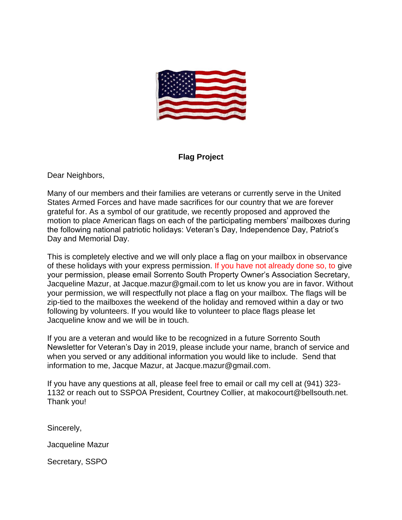

#### **Flag Project**

Dear Neighbors,

Many of our members and their families are veterans or currently serve in the United States Armed Forces and have made sacrifices for our country that we are forever grateful for. As a symbol of our gratitude, we recently proposed and approved the motion to place American flags on each of the participating members' mailboxes during the following national patriotic holidays: Veteran's Day, Independence Day, Patriot's Day and Memorial Day.

This is completely elective and we will only place a flag on your mailbox in observance of these holidays with your express permission. If you have not already done so, to give your permission, please email Sorrento South Property Owner's Association Secretary, Jacqueline Mazur, at Jacque.mazur@gmail.com to let us know you are in favor. Without your permission, we will respectfully not place a flag on your mailbox. The flags will be zip-tied to the mailboxes the weekend of the holiday and removed within a day or two following by volunteers. If you would like to volunteer to place flags please let Jacqueline know and we will be in touch.

If you are a veteran and would like to be recognized in a future Sorrento South Newsletter for Veteran's Day in 2019, please include your name, branch of service and when you served or any additional information you would like to include. Send that information to me, Jacque Mazur, at [Jacque.mazur@gmail.com.](mailto:Jacque.mazur@gmail.com)

If you have any questions at all, please feel free to email or call my cell at (941) 323- 1132 or reach out to SSPOA President, Courtney Collier, at makocourt@bellsouth.net. Thank you!

Sincerely,

Jacqueline Mazur

Secretary, SSPO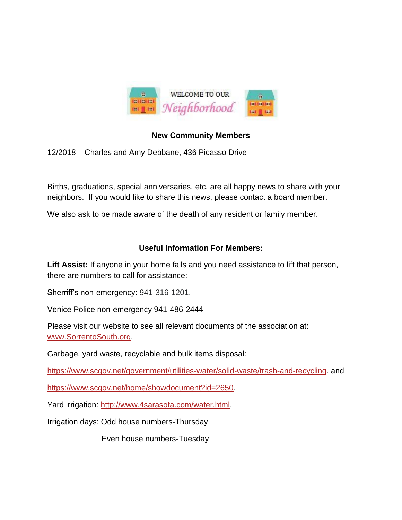

## **New Community Members**

12/2018 – Charles and Amy Debbane, 436 Picasso Drive

Births, graduations, special anniversaries, etc. are all happy news to share with your neighbors. If you would like to share this news, please contact a board member.

We also ask to be made aware of the death of any resident or family member.

## **Useful Information For Members:**

Lift Assist: If anyone in your home falls and you need assistance to lift that person, there are numbers to call for assistance:

Sherriff's non-emergency: 941-316-1201.

Venice Police non-emergency 941-486-2444

Please visit our website to see all relevant documents of the association at: [www.SorrentoSouth.org.](http://www.sorrentosouth.org/)

Garbage, yard waste, recyclable and bulk items disposal:

[https://www.scgov.net/government/utilities-water/solid-waste/trash-and-recycling.](https://www.scgov.net/government/utilities-water/solid-waste/trash-and-recycling) and

[https://www.scgov.net/home/showdocument?id=2650.](https://www.scgov.net/home/showdocument?id=2650)

Yard irrigation: [http://www.4sarasota.com/water.html.](http://www.4sarasota.com/water.html)

Irrigation days: Odd house numbers-Thursday

Even house numbers-Tuesday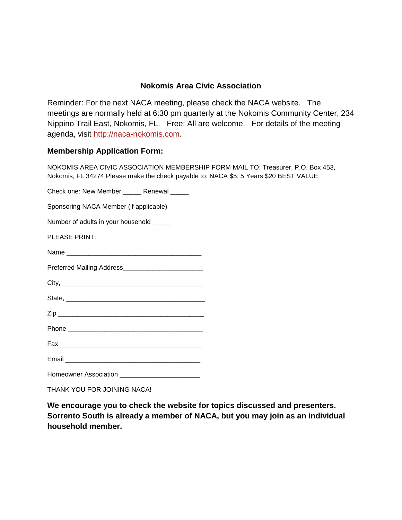## **Nokomis Area Civic Association**

Reminder: For the next NACA meeting, please check the NACA website. The meetings are normally held at 6:30 pm quarterly at the Nokomis Community Center, 234 Nippino Trail East, Nokomis, FL. Free: All are welcome. For details of the meeting agenda, visit [http://naca-nokomis.com.](http://naca-nokomis.com/)

#### **Membership Application Form:**

NOKOMIS AREA CIVIC ASSOCIATION MEMBERSHIP FORM MAIL TO: Treasurer, P.O. Box 453, Nokomis, FL 34274 Please make the check payable to: NACA \$5; 5 Years \$20 BEST VALUE

Check one: New Member \_\_\_\_\_\_ Renewal \_\_\_\_\_

Sponsoring NACA Member (if applicable)

Number of adults in your household \_\_\_\_\_

PLEASE PRINT:

Name \_\_\_\_\_\_\_\_\_\_\_\_\_\_\_\_\_\_\_\_\_\_\_\_\_\_\_\_\_\_\_\_\_\_\_\_\_

Preferred Mailing Address\_\_\_\_\_\_\_\_\_\_\_\_\_\_

 $City,$ 

State, \_\_\_\_\_\_\_\_\_\_\_\_\_\_\_\_\_\_\_\_\_\_\_\_\_\_\_\_\_\_\_\_\_\_\_\_\_\_

 $\mathsf{Zip}$ 

Phone \_\_\_\_\_\_\_\_\_\_\_\_\_\_\_\_\_\_\_\_\_\_\_\_\_\_\_\_\_\_\_\_\_\_\_\_\_

Fax \_\_\_\_\_\_\_\_\_\_\_\_\_\_\_\_\_\_\_\_\_\_\_\_\_\_\_\_\_\_\_\_\_\_\_\_\_\_\_

Email \_\_\_\_\_\_\_\_\_\_\_\_\_\_\_\_\_\_\_\_\_\_\_\_\_\_\_\_\_\_\_\_\_\_\_\_\_

Homeowner Association \_\_\_\_\_\_\_\_\_\_\_\_\_\_\_\_\_\_\_\_\_\_

THANK YOU FOR JOINING NACA!

**We encourage you to check the website for topics discussed and presenters. Sorrento South is already a member of NACA, but you may join as an individual household member.**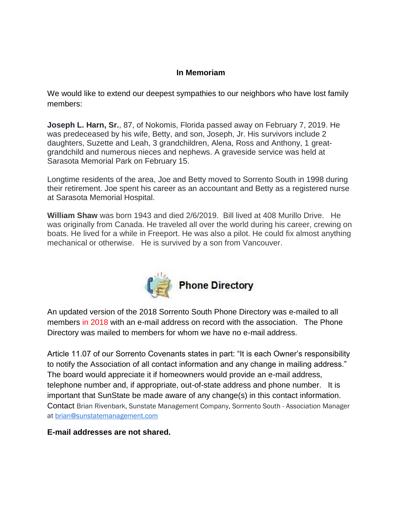#### **In Memoriam**

We would like to extend our deepest sympathies to our neighbors who have lost family members:

**Joseph L. Harn, Sr.**, 87, of Nokomis, Florida passed away on February 7, 2019. He was predeceased by his wife, Betty, and son, Joseph, Jr. His survivors include 2 daughters, Suzette and Leah, 3 grandchildren, Alena, Ross and Anthony, 1 greatgrandchild and numerous nieces and nephews. A graveside service was held at Sarasota Memorial Park on February 15.

Longtime residents of the area, Joe and Betty moved to Sorrento South in 1998 during their retirement. Joe spent his career as an accountant and Betty as a registered nurse at Sarasota Memorial Hospital.

**William Shaw** was born 1943 and died 2/6/2019. Bill lived at 408 Murillo Drive. He was originally from Canada. He traveled all over the world during his career, crewing on boats. He lived for a while in Freeport. He was also a pilot. He could fix almost anything mechanical or otherwise. He is survived by a son from Vancouver.



An updated version of the 2018 Sorrento South Phone Directory was e-mailed to all members in 2018 with an e-mail address on record with the association. The Phone Directory was mailed to members for whom we have no e-mail address.

Article 11.07 of our Sorrento Covenants states in part: "It is each Owner's responsibility to notify the Association of all contact information and any change in mailing address." The board would appreciate it if homeowners would provide an e-mail address, telephone number and, if appropriate, out-of-state address and phone number. It is important that SunState be made aware of any change(s) in this contact information. Contact Brian Rivenbark, Sunstate Management Company, Sorrrento South - Association Manager at [brian@sunstatemanagement.com](mailto:brian@sunstatemanagement.com)

#### **E-mail addresses are not shared.**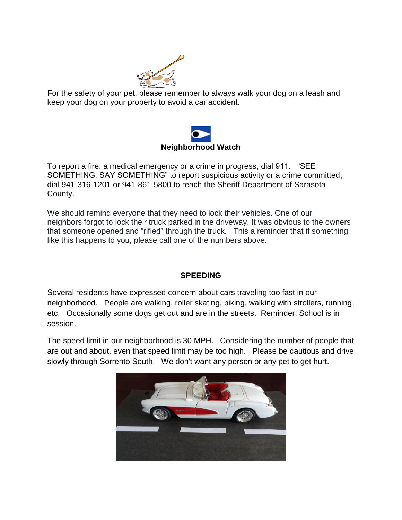

For the safety of your pet, please remember to always walk your dog on a leash and keep your dog on your property to avoid a car accident.



To report a fire, a medical emergency or a crime in progress, dial 911. "SEE SOMETHING, SAY SOMETHING" to report suspicious activity or a crime committed, dial 941-316-1201 or 941-861-5800 to reach the Sheriff Department of Sarasota County.

We should remind everyone that they need to lock their vehicles. One of our neighbors forgot to lock their truck parked in the driveway. It was obvious to the owners that someone opened and "rifled" through the truck. This a reminder that if something like this happens to you, please call one of the numbers above.

## **SPEEDING**

Several residents have expressed concern about cars traveling too fast in our neighborhood. People are walking, roller skating, biking, walking with strollers, running, etc. Occasionally some dogs get out and are in the streets. Reminder: School is in session.

The speed limit in our neighborhood is 30 MPH. Considering the number of people that are out and about, even that speed limit may be too high. Please be cautious and drive slowly through Sorrento South. We don't want any person or any pet to get hurt.

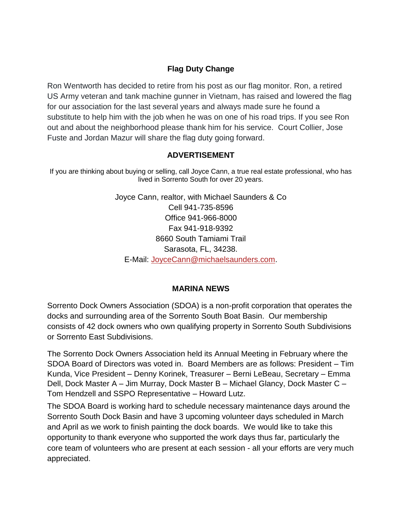## **Flag Duty Change**

Ron Wentworth has decided to retire from his post as our flag monitor. Ron, a retired US Army veteran and tank machine gunner in Vietnam, has raised and lowered the flag for our association for the last several years and always made sure he found a substitute to help him with the job when he was on one of his road trips. If you see Ron out and about the neighborhood please thank him for his service. Court Collier, Jose Fuste and Jordan Mazur will share the flag duty going forward.

#### **ADVERTISEMENT**

If you are thinking about buying or selling, call Joyce Cann, a true real estate professional, who has lived in Sorrento South for over 20 years.

> Joyce Cann, realtor, with Michael Saunders & Co Cell 941-735-8596 Office 941-966-8000 Fax 941-918-9392 8660 South Tamiami Trail Sarasota, FL, 34238. E-Mail: [JoyceCann@michaelsaunders.com.](mailto:JoyceCann@michaelsaunders.com)

#### **MARINA NEWS**

Sorrento Dock Owners Association (SDOA) is a non-profit corporation that operates the docks and surrounding area of the Sorrento South Boat Basin. Our membership consists of 42 dock owners who own qualifying property in Sorrento South Subdivisions or Sorrento East Subdivisions.

The Sorrento Dock Owners Association held its Annual Meeting in February where the SDOA Board of Directors was voted in. Board Members are as follows: President – Tim Kunda, Vice President – Denny Korinek, Treasurer – Berni LeBeau, Secretary – Emma Dell, Dock Master A – Jim Murray, Dock Master B – Michael Glancy, Dock Master C – Tom Hendzell and SSPO Representative – Howard Lutz.

The SDOA Board is working hard to schedule necessary maintenance days around the Sorrento South Dock Basin and have 3 upcoming volunteer days scheduled in March and April as we work to finish painting the dock boards. We would like to take this opportunity to thank everyone who supported the work days thus far, particularly the core team of volunteers who are present at each session - all your efforts are very much appreciated.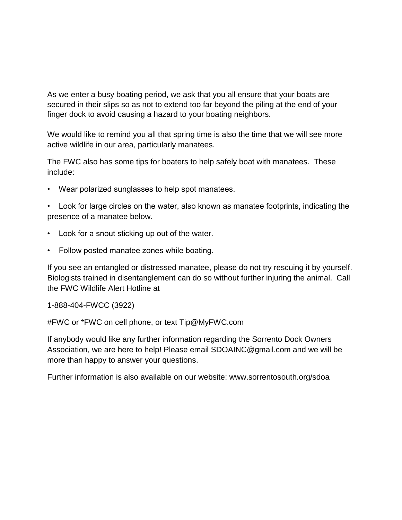As we enter a busy boating period, we ask that you all ensure that your boats are secured in their slips so as not to extend too far beyond the piling at the end of your finger dock to avoid causing a hazard to your boating neighbors.

We would like to remind you all that spring time is also the time that we will see more active wildlife in our area, particularly manatees.

The FWC also has some tips for boaters to help safely boat with manatees. These include:

• Wear polarized sunglasses to help spot manatees.

• Look for large circles on the water, also known as manatee footprints, indicating the presence of a manatee below.

- Look for a snout sticking up out of the water.
- Follow posted manatee zones while boating.

If you see an entangled or distressed manatee, please do not try rescuing it by yourself. Biologists trained in disentanglement can do so without further injuring the animal. Call the FWC Wildlife Alert Hotline at

1-888-404-FWCC (3922)

#FWC or \*FWC on cell phone, or text Tip@MyFWC.com

If anybody would like any further information regarding the Sorrento Dock Owners Association, we are here to help! Please email SDOAINC@gmail.com and we will be more than happy to answer your questions.

Further information is also available on our website: www.sorrentosouth.org/sdoa